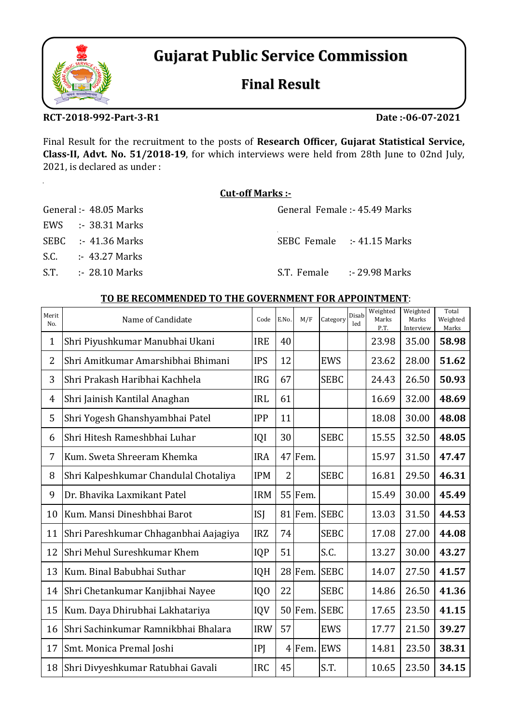# **Gujarat Public Service Commission**

## **Final Result**

## **RCT‐2018‐992‐Part‐3‐R1**

**Date :‐06‐07‐2021**

Final Result for the recruitment to the posts of **Research Officer, Gujarat Statistical Service, Class‐II, Advt. No. 51/2018‐19**, for which interviews were held from 28th June to 02nd July, 2021, is declared as under :

## **Cut‐off Marks :‐**

| General :- 48.05 Marks       | General Female :- 45.49 Marks               |  |
|------------------------------|---------------------------------------------|--|
| EWS $\therefore$ 38.31 Marks |                                             |  |
| SEBC :- $41.36$ Marks        | SEBC Female :- 41.15 Marks                  |  |
| S.C. $: 43.27$ Marks         |                                             |  |
| $S.T.$ : 28.10 Marks         | $S.T.$ Female $\longrightarrow$ 29.98 Marks |  |

## **TO BE RECOMMENDED TO THE GOVERNMENT FOR APPOINTMENT**:

| Merit<br>No.   | Name of Candidate                     | Code            | E.No.          | M/F        | Category    | Disab<br>led | Weighted<br>Marks<br>P.T. | Weighted<br>Marks<br>Interview | Total<br>Weighted<br>Marks |
|----------------|---------------------------------------|-----------------|----------------|------------|-------------|--------------|---------------------------|--------------------------------|----------------------------|
| $\mathbf{1}$   | Shri Piyushkumar Manubhai Ukani       | <b>IRE</b>      | 40             |            |             |              | 23.98                     | 35.00                          | 58.98                      |
| $\overline{2}$ | Shri Amitkumar Amarshibhai Bhimani    | <b>IPS</b>      | 12             |            | <b>EWS</b>  |              | 23.62                     | 28.00                          | 51.62                      |
| 3              | Shri Prakash Haribhai Kachhela        | <b>IRG</b>      | 67             |            | <b>SEBC</b> |              | 24.43                     | 26.50                          | 50.93                      |
| $\overline{4}$ | Shri Jainish Kantilal Anaghan         | <b>IRL</b>      | 61             |            |             |              | 16.69                     | 32.00                          | 48.69                      |
| 5              | Shri Yogesh Ghanshyambhai Patel       | <b>IPP</b>      | 11             |            |             |              | 18.08                     | 30.00                          | 48.08                      |
| 6              | Shri Hitesh Rameshbhai Luhar          | IQI             | 30             |            | <b>SEBC</b> |              | 15.55                     | 32.50                          | 48.05                      |
| 7              | Kum. Sweta Shreeram Khemka            | <b>IRA</b>      |                | 47 Fem.    |             |              | 15.97                     | 31.50                          | 47.47                      |
| 8              | Shri Kalpeshkumar Chandulal Chotaliya | <b>IPM</b>      | $\overline{2}$ |            | <b>SEBC</b> |              | 16.81                     | 29.50                          | 46.31                      |
| 9              | Dr. Bhavika Laxmikant Patel           | <b>IRM</b>      |                | $55$ Fem.  |             |              | 15.49                     | 30.00                          | 45.49                      |
| 10             | Kum. Mansi Dineshbhai Barot           | <b>ISJ</b>      |                | 81 Fem.    | <b>SEBC</b> |              | 13.03                     | 31.50                          | 44.53                      |
| 11             | Shri Pareshkumar Chhaganbhai Aajagiya | <b>IRZ</b>      | 74             |            | <b>SEBC</b> |              | 17.08                     | 27.00                          | 44.08                      |
| 12             | Shri Mehul Sureshkumar Khem           | <b>IQP</b>      | 51             |            | S.C.        |              | 13.27                     | 30.00                          | 43.27                      |
| 13             | Kum. Binal Babubhai Suthar            | <b>IQH</b>      |                | 28 Fem.    | <b>SEBC</b> |              | 14.07                     | 27.50                          | 41.57                      |
| 14             | Shri Chetankumar Kanjibhai Nayee      | IQ <sub>0</sub> | 22             |            | <b>SEBC</b> |              | 14.86                     | 26.50                          | 41.36                      |
| 15             | Kum. Daya Dhirubhai Lakhatariya       | IQV             |                | $50$ Fem.  | <b>SEBC</b> |              | 17.65                     | 23.50                          | 41.15                      |
| 16             | Shri Sachinkumar Ramnikbhai Bhalara   | <b>IRW</b>      | 57             |            | <b>EWS</b>  |              | 17.77                     | 21.50                          | 39.27                      |
| 17             | Smt. Monica Premal Joshi              | IP              |                | 4 Fem. EWS |             |              | 14.81                     | 23.50                          | 38.31                      |
| 18             | Shri Divyeshkumar Ratubhai Gavali     | <b>IRC</b>      | 45             |            | S.T.        |              | 10.65                     | 23.50                          | 34.15                      |



 $\ddot{\phantom{a}}$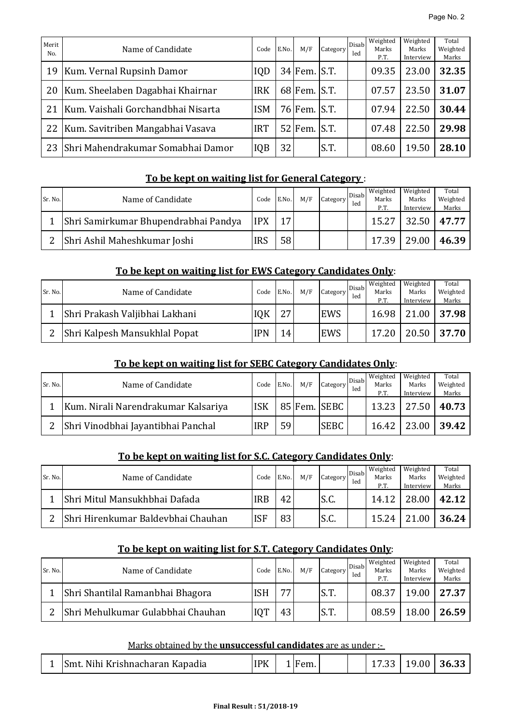| Merit<br>No. | Name of Candidate                  | Code       | E.No. | M/F          | Category                  | Disab<br>led | Weighted<br>Marks<br>P.T. | Weighted<br>Marks<br>Interview | Total<br>Weighted<br>Marks |
|--------------|------------------------------------|------------|-------|--------------|---------------------------|--------------|---------------------------|--------------------------------|----------------------------|
| 19           | Kum. Vernal Rupsinh Damor          | <b>IQD</b> |       | $34$ Fem.    | S.T.                      |              | 09.35                     | 23.00                          | 32.35                      |
| 20           | Kum. Sheelaben Dagabhai Khairnar   | <b>IRK</b> |       | 68 Fem. S.T. |                           |              | 07.57                     | 23.50                          | 31.07                      |
| 21           | Kum. Vaishali Gorchandbhai Nisarta | <b>ISM</b> |       | 76 Fem.      | S.T.                      |              | 07.94                     | 22.50                          | 30.44                      |
| 22           | Kum. Savitriben Mangabhai Vasava   | <b>IRT</b> |       | $52$ Fem.    | $\mathsf{S}.\mathsf{T}$ . |              | 07.48                     | 22.50                          | 29.98                      |
| 23           | Shri Mahendrakumar Somabhai Damor  | IQB        | 32    |              | S.T.                      |              | 08.60                     | 19.50                          | 28.10                      |

## **To be kept on waiting list for General Category** :

| Sr. No. | Name of Candidate                    | Code       | E.No. | M/F | Category | Disab<br>led | Weighted<br>Marks<br>P.T. | Weighted<br>Marks<br>Interview | Total<br>Weighted<br>Marks |
|---------|--------------------------------------|------------|-------|-----|----------|--------------|---------------------------|--------------------------------|----------------------------|
|         | Shri Samirkumar Bhupendrabhai Pandya | <b>IPX</b> | 17    |     |          |              | 15.27                     | $32.50$   47.77                |                            |
|         | Shri Ashil Maheshkumar Joshi         | <b>IRS</b> | 58    |     |          |              | 17.39                     | 29.00                          | 46.39                      |

## **To be kept on waiting list for EWS Category Candidates Only**:

| Sr. No. | Name of Candidate              | Code       | E.No. | M/F | Category | Disab<br>led | Weighted<br>Marks<br>P.T. | Weighted<br>Marks<br>Interview | Total<br>Weighted<br>Marks |
|---------|--------------------------------|------------|-------|-----|----------|--------------|---------------------------|--------------------------------|----------------------------|
|         | Shri Prakash Valjibhai Lakhani | IQK        | フワ    |     | EWS      |              | 16.98                     |                                | 21.00   37.98              |
|         | Shri Kalpesh Mansukhlal Popat  | <b>IPN</b> | 14    |     | EWS      |              | 17.20                     | 20.50                          | 37.70                      |

## **To be kept on waiting list for SEBC Category Candidates Only**:

| Sr. No. | Name of Candidate                   | Code       | E.No. | M/F | Category     | Disab<br>led | Weighted<br>Marks<br>P.T. | Weighted<br>Marks<br>Interview | Total<br>Weighted<br>Marks |
|---------|-------------------------------------|------------|-------|-----|--------------|--------------|---------------------------|--------------------------------|----------------------------|
|         | Kum. Nirali Narendrakumar Kalsariya | <b>ISK</b> |       |     | 85 Fem. SEBC |              | 13.23                     | 27.50                          | 40.73                      |
|         | Shri Vinodbhai Jayantibhai Panchal  | <b>IRP</b> | 59    |     | <b>SEBC</b>  |              | 16.42                     | 23.00                          | 39.42                      |

## **To be kept on waiting list for S.C. Category Candidates Only**:

| Sr. No. | Name of Candidate                  | Code       | E.No. | M/F | Category | Disab<br>led | Weighted<br>Marks<br>P.T. | Weighted<br>Marks<br>Interview | Total<br>Weighted<br>Marks |
|---------|------------------------------------|------------|-------|-----|----------|--------------|---------------------------|--------------------------------|----------------------------|
|         | Shri Mitul Mansukhbhai Dafada      | <b>IRB</b> | 42    |     | S.C.     |              | 14.12                     | 28.00                          | 42.12                      |
| ŋ       | Shri Hirenkumar Baldevbhai Chauhan | <b>ISF</b> | 83    |     | S.C.     |              | 15.24                     | 21.00                          | 36.24                      |

#### **To be kept on waiting list for S.T. Category Candidates Only**:

| Sr. No. | Name of Candidate                 | Code | E.No. | M/F | Category | Disab<br>led | Weighted<br>Marks<br>P.T. | Weighted<br>Marks<br>Interview | Total<br>Weighted<br>Marks |
|---------|-----------------------------------|------|-------|-----|----------|--------------|---------------------------|--------------------------------|----------------------------|
|         | Shri Shantilal Ramanbhai Bhagora  | ISH  | 77    |     | S.T.     |              | 08.37                     | 19.00                          | 27.37                      |
|         | Shri Mehulkumar Gulabbhai Chauhan | IQT  | 43    |     | S.T.     |              | 08.59                     | 18.00                          | 26.59                      |

#### Marks obtained by the **unsuccessful candidates** are as under :-

|  | Smt. Nihi Krishnacharan Kapadia | <b>IPK</b> |  | Fem. |  |  | J U | 19.00 | 36.33 |
|--|---------------------------------|------------|--|------|--|--|-----|-------|-------|
|--|---------------------------------|------------|--|------|--|--|-----|-------|-------|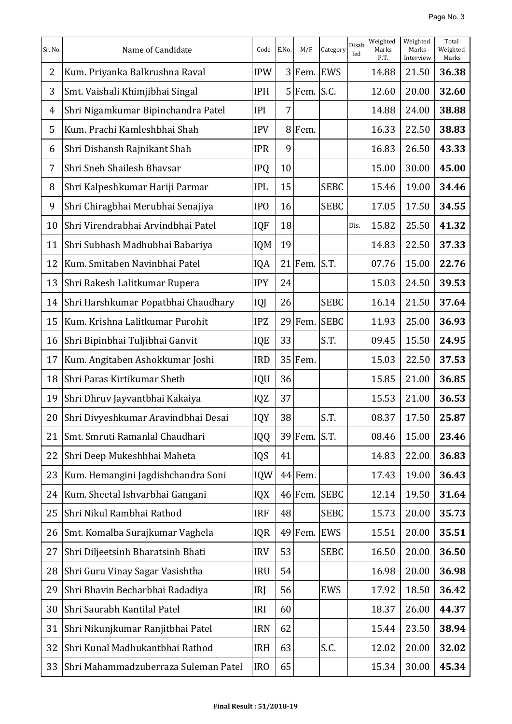| Sr. No. | Name of Candidate                    | Code            | E.No.          | M/F           | Category     | Disab<br>led | Weighted<br>Marks<br>P.T. | Weighted<br>Marks<br>Interview | Total<br>Weighted<br>Marks |
|---------|--------------------------------------|-----------------|----------------|---------------|--------------|--------------|---------------------------|--------------------------------|----------------------------|
| 2       | Kum. Priyanka Balkrushna Raval       | <b>IPW</b>      |                | 3 Fem. EWS    |              |              | 14.88                     | 21.50                          | 36.38                      |
| 3       | Smt. Vaishali Khimjibhai Singal      | <b>IPH</b>      |                | $5$ Fem. S.C. |              |              | 12.60                     | 20.00                          | 32.60                      |
| 4       | Shri Nigamkumar Bipinchandra Patel   | <b>IPI</b>      | 7 <sup>1</sup> |               |              |              | 14.88                     | 24.00                          | 38.88                      |
| 5       | Kum, Prachi Kamleshbhai Shah         | <b>IPV</b>      |                | 8 Fem.        |              |              | 16.33                     | 22.50                          | 38.83                      |
| 6       | Shri Dishansh Rajnikant Shah         | <b>IPR</b>      | 9              |               |              |              | 16.83                     | 26.50                          | 43.33                      |
| 7       | Shri Sneh Shailesh Bhavsar           | <b>IPQ</b>      | 10             |               |              |              | 15.00                     | 30.00                          | 45.00                      |
| 8       | Shri Kalpeshkumar Hariji Parmar      | <b>IPL</b>      | 15             |               | <b>SEBC</b>  |              | 15.46                     | 19.00                          | 34.46                      |
| 9       | Shri Chiragbhai Merubhai Senajiya    | IP <sub>O</sub> | 16             |               | <b>SEBC</b>  |              | 17.05                     | 17.50                          | 34.55                      |
| 10      | Shri Virendrabhai Arvindbhai Patel   | <b>IQF</b>      | 18             |               |              | Dis.         | 15.82                     | 25.50                          | 41.32                      |
| 11      | Shri Subhash Madhubhai Babariya      | <b>IQM</b>      | 19             |               |              |              | 14.83                     | 22.50                          | 37.33                      |
| 12      | Kum. Smitaben Navinbhai Patel        | IQA             |                | $21$ Fem.     | S.T.         |              | 07.76                     | 15.00                          | 22.76                      |
| 13      | Shri Rakesh Lalitkumar Rupera        | <b>IPY</b>      | 24             |               |              |              | 15.03                     | 24.50                          | 39.53                      |
| 14      | Shri Harshkumar Popatbhai Chaudhary  | IQJ             | 26             |               | <b>SEBC</b>  |              | 16.14                     | 21.50                          | 37.64                      |
| 15      | Kum. Krishna Lalitkumar Purohit      | <b>IPZ</b>      |                | 29 Fem.       | <b>SEBC</b>  |              | 11.93                     | 25.00                          | 36.93                      |
| 16      | Shri Bipinbhai Tuljibhai Ganvit      | IQE             | 33             |               | S.T.         |              | 09.45                     | 15.50                          | 24.95                      |
| 17      | Kum. Angitaben Ashokkumar Joshi      | <b>IRD</b>      |                | 35 Fem.       |              |              | 15.03                     | 22.50                          | 37.53                      |
| 18      | Shri Paras Kirtikumar Sheth          | IQU             | 36             |               |              |              | 15.85                     | 21.00                          | 36.85                      |
| 19      | Shri Dhruv Jayvantbhai Kakaiya       | IQZ             | 37             |               |              |              | 15.53                     | 21.00                          | 36.53                      |
| 20      | Shri Divyeshkumar Aravindbhai Desai  | IQY             | 38             |               | S.T.         |              | 08.37                     | 17.50                          | 25.87                      |
| 21      | Smt. Smruti Ramanlal Chaudhari       | IQQ             |                | 39 Fem.       | S.T.         |              | 08.46                     | 15.00                          | 23.46                      |
| 22      | Shri Deep Mukeshbhai Maheta          | IQS             | 41             |               |              |              | 14.83                     | 22.00                          | 36.83                      |
| 23      | Kum. Hemangini Jagdishchandra Soni   | IQW             |                | 44 Fem.       |              |              | 17.43                     | 19.00                          | 36.43                      |
| 24      | Kum. Sheetal Ishvarbhai Gangani      | IQX             |                |               | 46 Fem. SEBC |              | 12.14                     | 19.50                          | 31.64                      |
| 25      | Shri Nikul Rambhai Rathod            | <b>IRF</b>      | 48             |               | <b>SEBC</b>  |              | 15.73                     | 20.00                          | 35.73                      |
| 26      | Smt. Komalba Surajkumar Vaghela      | IQR             |                | $49$ Fem.     | EWS          |              | 15.51                     | 20.00                          | 35.51                      |
| 27      | Shri Diljeetsinh Bharatsinh Bhati    | <b>IRV</b>      | 53             |               | <b>SEBC</b>  |              | 16.50                     | 20.00                          | 36.50                      |
| 28      | Shri Guru Vinay Sagar Vasishtha      | <b>IRU</b>      | 54             |               |              |              | 16.98                     | 20.00                          | 36.98                      |
| 29      | Shri Bhavin Becharbhai Radadiya      | IRJ             | 56             |               | <b>EWS</b>   |              | 17.92                     | 18.50                          | 36.42                      |
| 30      | Shri Saurabh Kantilal Patel          | IRI             | 60             |               |              |              | 18.37                     | 26.00                          | 44.37                      |
| 31      | Shri Nikunjkumar Ranjitbhai Patel    | <b>IRN</b>      | 62             |               |              |              | 15.44                     | 23.50                          | 38.94                      |
| 32      | Shri Kunal Madhukantbhai Rathod      | <b>IRH</b>      | 63             |               | S.C.         |              | 12.02                     | 20.00                          | 32.02                      |
| 33      | Shri Mahammadzuberraza Suleman Patel | IR <sub>0</sub> | 65             |               |              |              | 15.34                     | 30.00                          | 45.34                      |